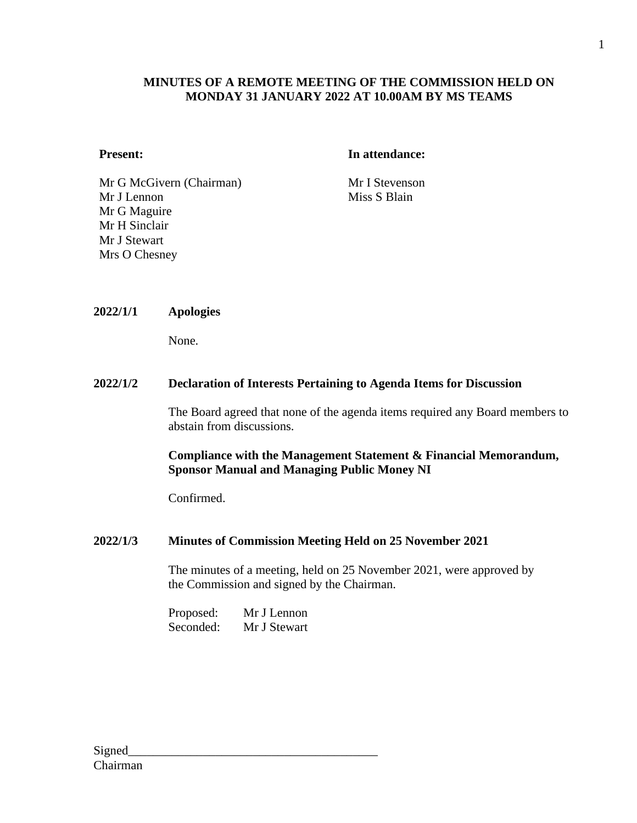## **MINUTES OF A REMOTE MEETING OF THE COMMISSION HELD ON MONDAY 31 JANUARY 2022 AT 10.00AM BY MS TEAMS**

#### **Present: In attendance:**

Mr G McGivern (Chairman) Mr I Stevenson Mr J Lennon Mr G Maguire Mr H Sinclair Mr J Stewart Mrs O Chesney

Miss S Blain

#### **2022/1/1 Apologies**

None.

#### **2022/1/2 Declaration of Interests Pertaining to Agenda Items for Discussion**

The Board agreed that none of the agenda items required any Board members to abstain from discussions.

#### **Compliance with the Management Statement & Financial Memorandum, Sponsor Manual and Managing Public Money NI**

Confirmed.

#### **2022/1/3 Minutes of Commission Meeting Held on 25 November 2021**

The minutes of a meeting, held on 25 November 2021, were approved by the Commission and signed by the Chairman.

Proposed: Mr J Lennon Seconded: Mr J Stewart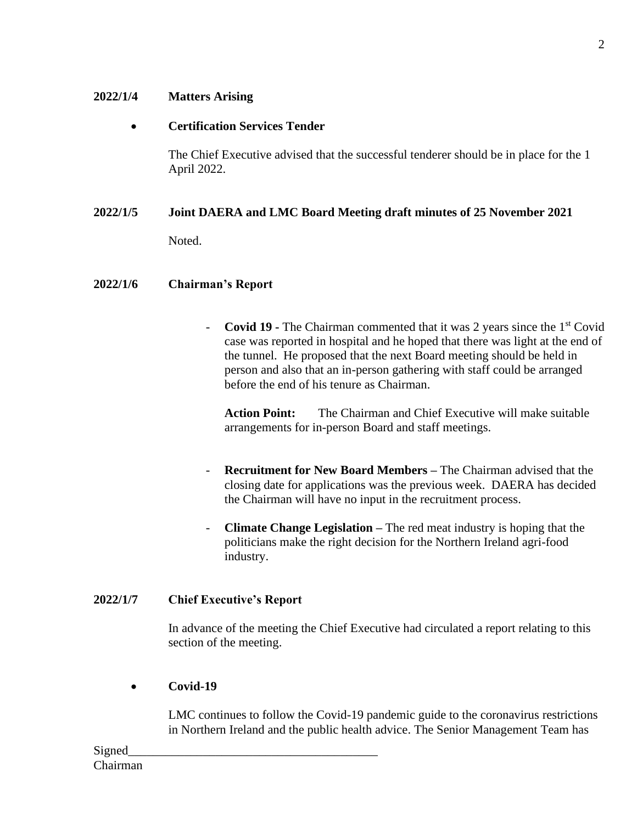## **2022/1/4 Matters Arising**

# • **Certification Services Tender**

The Chief Executive advised that the successful tenderer should be in place for the 1 April 2022.

## **2022/1/5 Joint DAERA and LMC Board Meeting draft minutes of 25 November 2021**

Noted.

#### **2022/1/6 Chairman's Report**

- **Covid 19 -** The Chairman commented that it was 2 years since the 1st Covid case was reported in hospital and he hoped that there was light at the end of the tunnel. He proposed that the next Board meeting should be held in person and also that an in-person gathering with staff could be arranged before the end of his tenure as Chairman.

**Action Point:** The Chairman and Chief Executive will make suitable arrangements for in-person Board and staff meetings.

- **Recruitment for New Board Members –** The Chairman advised that the closing date for applications was the previous week. DAERA has decided the Chairman will have no input in the recruitment process.
- **Climate Change Legislation –** The red meat industry is hoping that the politicians make the right decision for the Northern Ireland agri-food industry.

## **2022/1/7 Chief Executive's Report**

In advance of the meeting the Chief Executive had circulated a report relating to this section of the meeting.

## • **Covid-19**

LMC continues to follow the Covid-19 pandemic guide to the coronavirus restrictions in Northern Ireland and the public health advice. The Senior Management Team has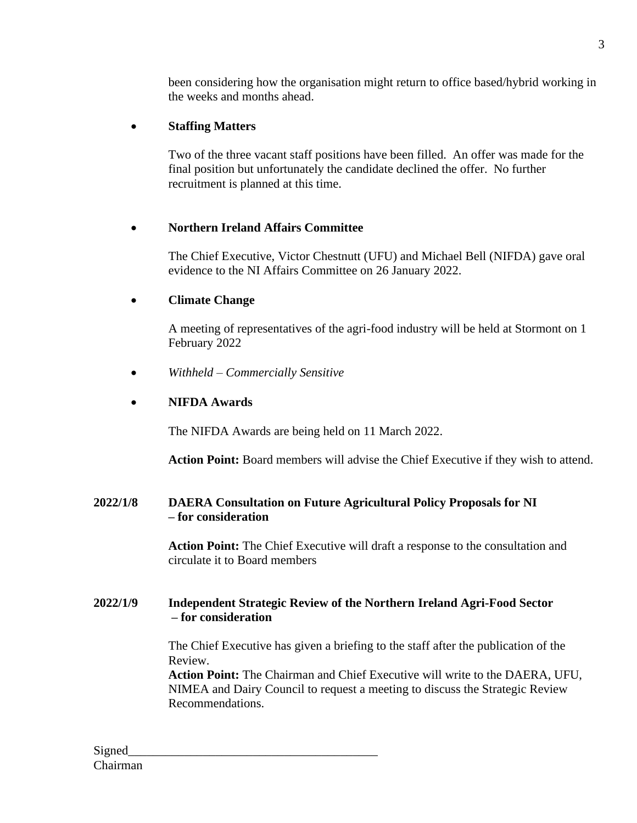been considering how the organisation might return to office based/hybrid working in the weeks and months ahead.

# • **Staffing Matters**

Two of the three vacant staff positions have been filled. An offer was made for the final position but unfortunately the candidate declined the offer. No further recruitment is planned at this time.

# • **Northern Ireland Affairs Committee**

The Chief Executive, Victor Chestnutt (UFU) and Michael Bell (NIFDA) gave oral evidence to the NI Affairs Committee on 26 January 2022.

# • **Climate Change**

A meeting of representatives of the agri-food industry will be held at Stormont on 1 February 2022

• *Withheld – Commercially Sensitive*

# • **NIFDA Awards**

The NIFDA Awards are being held on 11 March 2022.

**Action Point:** Board members will advise the Chief Executive if they wish to attend.

# **2022/1/8 DAERA Consultation on Future Agricultural Policy Proposals for NI – for consideration**

**Action Point:** The Chief Executive will draft a response to the consultation and circulate it to Board members

## **2022/1/9 Independent Strategic Review of the Northern Ireland Agri-Food Sector – for consideration**

The Chief Executive has given a briefing to the staff after the publication of the Review.

**Action Point:** The Chairman and Chief Executive will write to the DAERA, UFU, NIMEA and Dairy Council to request a meeting to discuss the Strategic Review Recommendations.